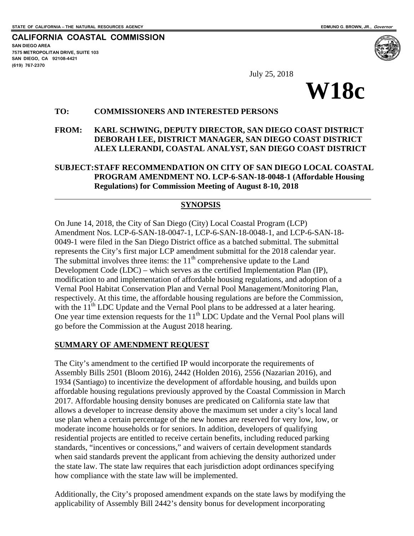**SAN DIEGO AREA** 

**(619) 767-2370**

 $\overline{a}$ 

**CALIFORNIA COASTAL COMMISSION**

**7575 METROPOLITAN DRIVE, SUITE 103 SAN DIEGO, CA 92108-4421**

July 25, 2018



#### **TO: COMMISSIONERS AND INTERESTED PERSONS**

#### **FROM: KARL SCHWING, DEPUTY DIRECTOR, SAN DIEGO COAST DISTRICT DEBORAH LEE, DISTRICT MANAGER, SAN DIEGO COAST DISTRICT ALEX LLERANDI, COASTAL ANALYST, SAN DIEGO COAST DISTRICT**

#### **SUBJECT:STAFF RECOMMENDATION ON CITY OF SAN DIEGO LOCAL COASTAL PROGRAM AMENDMENT NO. LCP-6-SAN-18-0048-1 (Affordable Housing Regulations) for Commission Meeting of August 8-10, 2018**

#### **SYNOPSIS**

On June 14, 2018, the City of San Diego (City) Local Coastal Program (LCP) Amendment Nos. LCP-6-SAN-18-0047-1, LCP-6-SAN-18-0048-1, and LCP-6-SAN-18- 0049-1 were filed in the San Diego District office as a batched submittal. The submittal represents the City's first major LCP amendment submittal for the 2018 calendar year. The submittal involves three items: the  $11<sup>th</sup>$  comprehensive update to the Land Development Code (LDC) – which serves as the certified Implementation Plan (IP), modification to and implementation of affordable housing regulations, and adoption of a Vernal Pool Habitat Conservation Plan and Vernal Pool Management/Monitoring Plan, respectively. At this time, the affordable housing regulations are before the Commission, with the  $11<sup>th</sup>$  LDC Update and the Vernal Pool plans to be addressed at a later hearing. One year time extension requests for the  $11<sup>th</sup>$  LDC Update and the Vernal Pool plans will go before the Commission at the August 2018 hearing.

#### **SUMMARY OF AMENDMENT REQUEST**

The City's amendment to the certified IP would incorporate the requirements of Assembly Bills 2501 (Bloom 2016), 2442 (Holden 2016), 2556 (Nazarian 2016), and 1934 (Santiago) to incentivize the development of affordable housing, and builds upon affordable housing regulations previously approved by the Coastal Commission in March 2017. Affordable housing density bonuses are predicated on California state law that allows a developer to increase density above the maximum set under a city's local land use plan when a certain percentage of the new homes are reserved for very low, low, or moderate income households or for seniors. In addition, developers of qualifying residential projects are entitled to receive certain benefits, including reduced parking standards, "incentives or concessions," and waivers of certain development standards when said standards prevent the applicant from achieving the density authorized under the state law. The state law requires that each jurisdiction adopt ordinances specifying how compliance with the state law will be implemented.

Additionally, the City's proposed amendment expands on the state laws by modifying the applicability of Assembly Bill 2442's density bonus for development incorporating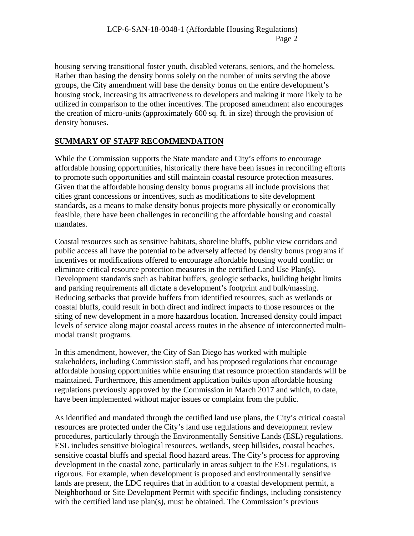housing serving transitional foster youth, disabled veterans, seniors, and the homeless. Rather than basing the density bonus solely on the number of units serving the above groups, the City amendment will base the density bonus on the entire development's housing stock, increasing its attractiveness to developers and making it more likely to be utilized in comparison to the other incentives. The proposed amendment also encourages the creation of micro-units (approximately 600 sq. ft. in size) through the provision of density bonuses.

# **SUMMARY OF STAFF RECOMMENDATION**

While the Commission supports the State mandate and City's efforts to encourage affordable housing opportunities, historically there have been issues in reconciling efforts to promote such opportunities and still maintain coastal resource protection measures. Given that the affordable housing density bonus programs all include provisions that cities grant concessions or incentives, such as modifications to site development standards, as a means to make density bonus projects more physically or economically feasible, there have been challenges in reconciling the affordable housing and coastal mandates.

Coastal resources such as sensitive habitats, shoreline bluffs, public view corridors and public access all have the potential to be adversely affected by density bonus programs if incentives or modifications offered to encourage affordable housing would conflict or eliminate critical resource protection measures in the certified Land Use Plan(s). Development standards such as habitat buffers, geologic setbacks, building height limits and parking requirements all dictate a development's footprint and bulk/massing. Reducing setbacks that provide buffers from identified resources, such as wetlands or coastal bluffs, could result in both direct and indirect impacts to those resources or the siting of new development in a more hazardous location. Increased density could impact levels of service along major coastal access routes in the absence of interconnected multimodal transit programs.

In this amendment, however, the City of San Diego has worked with multiple stakeholders, including Commission staff, and has proposed regulations that encourage affordable housing opportunities while ensuring that resource protection standards will be maintained. Furthermore, this amendment application builds upon affordable housing regulations previously approved by the Commission in March 2017 and which, to date, have been implemented without major issues or complaint from the public.

As identified and mandated through the certified land use plans, the City's critical coastal resources are protected under the City's land use regulations and development review procedures, particularly through the Environmentally Sensitive Lands (ESL) regulations. ESL includes sensitive biological resources, wetlands, steep hillsides, coastal beaches, sensitive coastal bluffs and special flood hazard areas. The City's process for approving development in the coastal zone, particularly in areas subject to the ESL regulations, is rigorous. For example, when development is proposed and environmentally sensitive lands are present, the LDC requires that in addition to a coastal development permit, a Neighborhood or Site Development Permit with specific findings, including consistency with the certified land use plan(s), must be obtained. The Commission's previous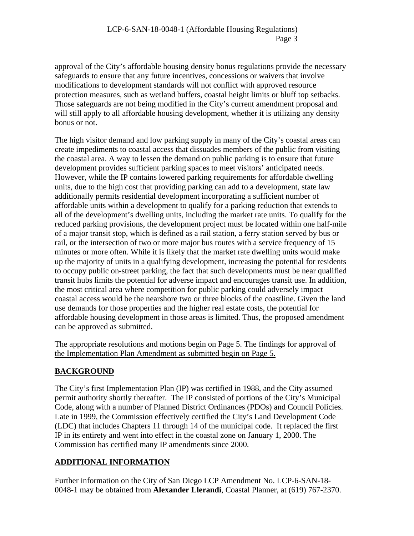approval of the City's affordable housing density bonus regulations provide the necessary safeguards to ensure that any future incentives, concessions or waivers that involve modifications to development standards will not conflict with approved resource protection measures, such as wetland buffers, coastal height limits or bluff top setbacks. Those safeguards are not being modified in the City's current amendment proposal and will still apply to all affordable housing development, whether it is utilizing any density bonus or not.

The high visitor demand and low parking supply in many of the City's coastal areas can create impediments to coastal access that dissuades members of the public from visiting the coastal area. A way to lessen the demand on public parking is to ensure that future development provides sufficient parking spaces to meet visitors' anticipated needs. However, while the IP contains lowered parking requirements for affordable dwelling units, due to the high cost that providing parking can add to a development, state law additionally permits residential development incorporating a sufficient number of affordable units within a development to qualify for a parking reduction that extends to all of the development's dwelling units, including the market rate units. To qualify for the reduced parking provisions, the development project must be located within one half-mile of a major transit stop, which is defined as a rail station, a ferry station served by bus or rail, or the intersection of two or more major bus routes with a service frequency of 15 minutes or more often. While it is likely that the market rate dwelling units would make up the majority of units in a qualifying development, increasing the potential for residents to occupy public on-street parking, the fact that such developments must be near qualified transit hubs limits the potential for adverse impact and encourages transit use. In addition, the most critical area where competition for public parking could adversely impact coastal access would be the nearshore two or three blocks of the coastline. Given the land use demands for those properties and the higher real estate costs, the potential for affordable housing development in those areas is limited. Thus, the proposed amendment can be approved as submitted.

The appropriate resolutions and motions begin on Page 5. The findings for approval of the Implementation Plan Amendment as submitted begin on Page 5.

# **BACKGROUND**

The City's first Implementation Plan (IP) was certified in 1988, and the City assumed permit authority shortly thereafter. The IP consisted of portions of the City's Municipal Code, along with a number of Planned District Ordinances (PDOs) and Council Policies. Late in 1999, the Commission effectively certified the City's Land Development Code (LDC) that includes Chapters 11 through 14 of the municipal code. It replaced the first IP in its entirety and went into effect in the coastal zone on January 1, 2000. The Commission has certified many IP amendments since 2000.

# **ADDITIONAL INFORMATION**

Further information on the City of San Diego LCP Amendment No. LCP-6-SAN-18- 0048-1 may be obtained from **Alexander Llerandi**, Coastal Planner, at (619) 767-2370.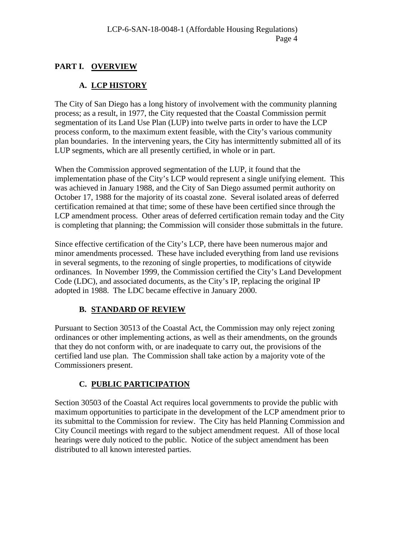# **PART I. OVERVIEW**

# **A. LCP HISTORY**

The City of San Diego has a long history of involvement with the community planning process; as a result, in 1977, the City requested that the Coastal Commission permit segmentation of its Land Use Plan (LUP) into twelve parts in order to have the LCP process conform, to the maximum extent feasible, with the City's various community plan boundaries. In the intervening years, the City has intermittently submitted all of its LUP segments, which are all presently certified, in whole or in part.

When the Commission approved segmentation of the LUP, it found that the implementation phase of the City's LCP would represent a single unifying element. This was achieved in January 1988, and the City of San Diego assumed permit authority on October 17, 1988 for the majority of its coastal zone. Several isolated areas of deferred certification remained at that time; some of these have been certified since through the LCP amendment process. Other areas of deferred certification remain today and the City is completing that planning; the Commission will consider those submittals in the future.

Since effective certification of the City's LCP, there have been numerous major and minor amendments processed. These have included everything from land use revisions in several segments, to the rezoning of single properties, to modifications of citywide ordinances. In November 1999, the Commission certified the City's Land Development Code (LDC), and associated documents, as the City's IP, replacing the original IP adopted in 1988. The LDC became effective in January 2000.

# **B. STANDARD OF REVIEW**

Pursuant to Section 30513 of the Coastal Act, the Commission may only reject zoning ordinances or other implementing actions, as well as their amendments, on the grounds that they do not conform with, or are inadequate to carry out, the provisions of the certified land use plan. The Commission shall take action by a majority vote of the Commissioners present.

# **C. PUBLIC PARTICIPATION**

Section 30503 of the Coastal Act requires local governments to provide the public with maximum opportunities to participate in the development of the LCP amendment prior to its submittal to the Commission for review. The City has held Planning Commission and City Council meetings with regard to the subject amendment request. All of those local hearings were duly noticed to the public. Notice of the subject amendment has been distributed to all known interested parties.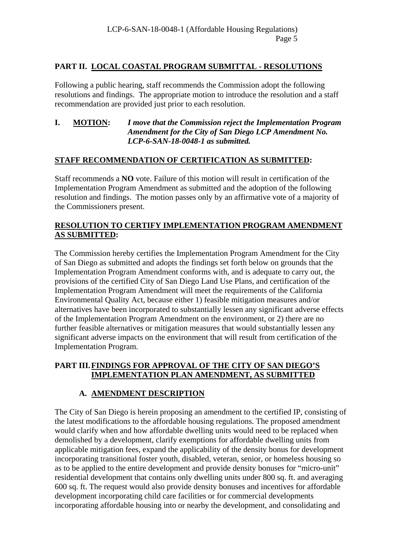## **PART II. LOCAL COASTAL PROGRAM SUBMITTAL - RESOLUTIONS**

Following a public hearing, staff recommends the Commission adopt the following resolutions and findings. The appropriate motion to introduce the resolution and a staff recommendation are provided just prior to each resolution.

#### **I. MOTION:** *I move that the Commission reject the Implementation Program Amendment for the City of San Diego LCP Amendment No. LCP-6-SAN-18-0048-1 as submitted.*

### **STAFF RECOMMENDATION OF CERTIFICATION AS SUBMITTED:**

Staff recommends a **NO** vote. Failure of this motion will result in certification of the Implementation Program Amendment as submitted and the adoption of the following resolution and findings. The motion passes only by an affirmative vote of a majority of the Commissioners present.

### **RESOLUTION TO CERTIFY IMPLEMENTATION PROGRAM AMENDMENT AS SUBMITTED:**

The Commission hereby certifies the Implementation Program Amendment for the City of San Diego as submitted and adopts the findings set forth below on grounds that the Implementation Program Amendment conforms with, and is adequate to carry out, the provisions of the certified City of San Diego Land Use Plans, and certification of the Implementation Program Amendment will meet the requirements of the California Environmental Quality Act, because either 1) feasible mitigation measures and/or alternatives have been incorporated to substantially lessen any significant adverse effects of the Implementation Program Amendment on the environment, or 2) there are no further feasible alternatives or mitigation measures that would substantially lessen any significant adverse impacts on the environment that will result from certification of the Implementation Program.

#### **PART III.FINDINGS FOR APPROVAL OF THE CITY OF SAN DIEGO'S IMPLEMENTATION PLAN AMENDMENT, AS SUBMITTED**

# **A. AMENDMENT DESCRIPTION**

The City of San Diego is herein proposing an amendment to the certified IP, consisting of the latest modifications to the affordable housing regulations. The proposed amendment would clarify when and how affordable dwelling units would need to be replaced when demolished by a development, clarify exemptions for affordable dwelling units from applicable mitigation fees, expand the applicability of the density bonus for development incorporating transitional foster youth, disabled, veteran, senior, or homeless housing so as to be applied to the entire development and provide density bonuses for "micro-unit" residential development that contains only dwelling units under 800 sq. ft. and averaging 600 sq. ft. The request would also provide density bonuses and incentives for affordable development incorporating child care facilities or for commercial developments incorporating affordable housing into or nearby the development, and consolidating and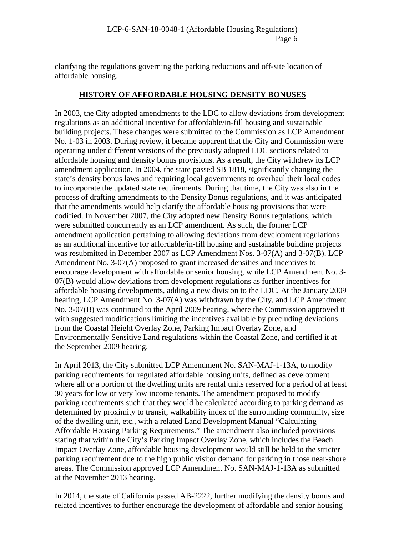clarifying the regulations governing the parking reductions and off-site location of affordable housing.

#### **HISTORY OF AFFORDABLE HOUSING DENSITY BONUSES**

In 2003, the City adopted amendments to the LDC to allow deviations from development regulations as an additional incentive for affordable/in-fill housing and sustainable building projects. These changes were submitted to the Commission as LCP Amendment No. 1-03 in 2003. During review, it became apparent that the City and Commission were operating under different versions of the previously adopted LDC sections related to affordable housing and density bonus provisions. As a result, the City withdrew its LCP amendment application. In 2004, the state passed SB 1818, significantly changing the state's density bonus laws and requiring local governments to overhaul their local codes to incorporate the updated state requirements. During that time, the City was also in the process of drafting amendments to the Density Bonus regulations, and it was anticipated that the amendments would help clarify the affordable housing provisions that were codified. In November 2007, the City adopted new Density Bonus regulations, which were submitted concurrently as an LCP amendment. As such, the former LCP amendment application pertaining to allowing deviations from development regulations as an additional incentive for affordable/in-fill housing and sustainable building projects was resubmitted in December 2007 as LCP Amendment Nos. 3-07(A) and 3-07(B). LCP Amendment No. 3-07(A) proposed to grant increased densities and incentives to encourage development with affordable or senior housing, while LCP Amendment No. 3- 07(B) would allow deviations from development regulations as further incentives for affordable housing developments, adding a new division to the LDC. At the January 2009 hearing, LCP Amendment No. 3-07(A) was withdrawn by the City, and LCP Amendment No. 3-07(B) was continued to the April 2009 hearing, where the Commission approved it with suggested modifications limiting the incentives available by precluding deviations from the Coastal Height Overlay Zone, Parking Impact Overlay Zone, and Environmentally Sensitive Land regulations within the Coastal Zone, and certified it at the September 2009 hearing.

In April 2013, the City submitted LCP Amendment No. SAN-MAJ-1-13A, to modify parking requirements for regulated affordable housing units, defined as development where all or a portion of the dwelling units are rental units reserved for a period of at least 30 years for low or very low income tenants. The amendment proposed to modify parking requirements such that they would be calculated according to parking demand as determined by proximity to transit, walkability index of the surrounding community, size of the dwelling unit, etc., with a related Land Development Manual "Calculating Affordable Housing Parking Requirements." The amendment also included provisions stating that within the City's Parking Impact Overlay Zone, which includes the Beach Impact Overlay Zone, affordable housing development would still be held to the stricter parking requirement due to the high public visitor demand for parking in those near-shore areas. The Commission approved LCP Amendment No. SAN-MAJ-1-13A as submitted at the November 2013 hearing.

In 2014, the state of California passed AB-2222, further modifying the density bonus and related incentives to further encourage the development of affordable and senior housing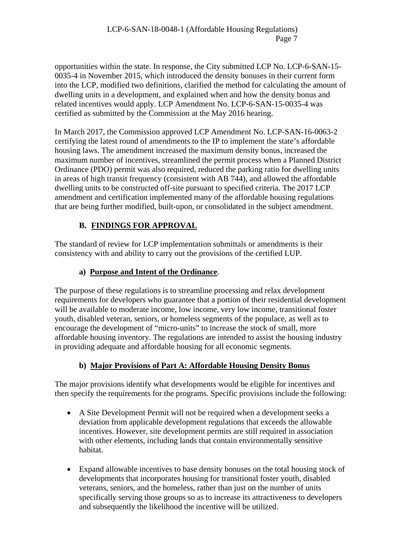opportunities within the state. In response, the City submitted LCP No. LCP-6-SAN-15- 0035-4 in November 2015, which introduced the density bonuses in their current form into the LCP, modified two definitions, clarified the method for calculating the amount of dwelling units in a development, and explained when and how the density bonus and related incentives would apply. LCP Amendment No. LCP-6-SAN-15-0035-4 was certified as submitted by the Commission at the May 2016 hearing.

In March 2017, the Commission approved LCP Amendment No. LCP-SAN-16-0063-2 certifying the latest round of amendments to the IP to implement the state's affordable housing laws. The amendment increased the maximum density bonus, increased the maximum number of incentives, streamlined the permit process when a Planned District Ordinance (PDO) permit was also required, reduced the parking ratio for dwelling units in areas of high transit frequency (consistent with AB 744), and allowed the affordable dwelling units to be constructed off-site pursuant to specified criteria. The 2017 LCP amendment and certification implemented many of the affordable housing regulations that are being further modified, built-upon, or consolidated in the subject amendment.

# **B. FINDINGS FOR APPROVAL**

The standard of review for LCP implementation submittals or amendments is their consistency with and ability to carry out the provisions of the certified LUP.

# **a) Purpose and Intent of the Ordinance**.

The purpose of these regulations is to streamline processing and relax development requirements for developers who guarantee that a portion of their residential development will be available to moderate income, low income, very low income, transitional foster youth, disabled veteran, seniors, or homeless segments of the populace, as well as to encourage the development of "micro-units" to increase the stock of small, more affordable housing inventory. The regulations are intended to assist the housing industry in providing adequate and affordable housing for all economic segments.

# **b) Major Provisions of Part A: Affordable Housing Density Bonus**

The major provisions identify what developments would be eligible for incentives and then specify the requirements for the programs. Specific provisions include the following:

- A Site Development Permit will not be required when a development seeks a deviation from applicable development regulations that exceeds the allowable incentives. However, site development permits are still required in association with other elements, including lands that contain environmentally sensitive habitat.
- Expand allowable incentives to base density bonuses on the total housing stock of developments that incorporates housing for transitional foster youth, disabled veterans, seniors, and the homeless, rather than just on the number of units specifically serving those groups so as to increase its attractiveness to developers and subsequently the likelihood the incentive will be utilized.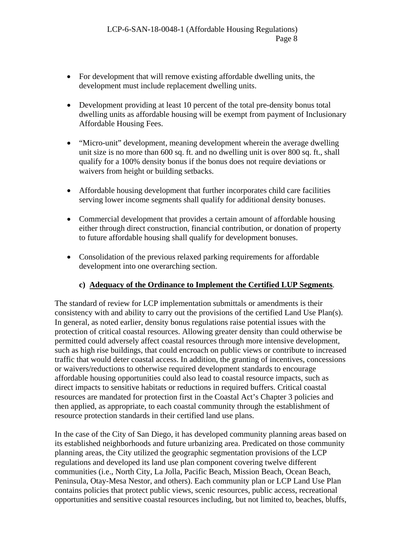- For development that will remove existing affordable dwelling units, the development must include replacement dwelling units.
- Development providing at least 10 percent of the total pre-density bonus total dwelling units as affordable housing will be exempt from payment of Inclusionary Affordable Housing Fees.
- "Micro-unit" development, meaning development wherein the average dwelling unit size is no more than 600 sq. ft. and no dwelling unit is over 800 sq. ft., shall qualify for a 100% density bonus if the bonus does not require deviations or waivers from height or building setbacks.
- Affordable housing development that further incorporates child care facilities serving lower income segments shall qualify for additional density bonuses.
- Commercial development that provides a certain amount of affordable housing either through direct construction, financial contribution, or donation of property to future affordable housing shall qualify for development bonuses.
- Consolidation of the previous relaxed parking requirements for affordable development into one overarching section.

# **c) Adequacy of the Ordinance to Implement the Certified LUP Segments**.

The standard of review for LCP implementation submittals or amendments is their consistency with and ability to carry out the provisions of the certified Land Use Plan(s). In general, as noted earlier, density bonus regulations raise potential issues with the protection of critical coastal resources. Allowing greater density than could otherwise be permitted could adversely affect coastal resources through more intensive development, such as high rise buildings, that could encroach on public views or contribute to increased traffic that would deter coastal access. In addition, the granting of incentives, concessions or waivers/reductions to otherwise required development standards to encourage affordable housing opportunities could also lead to coastal resource impacts, such as direct impacts to sensitive habitats or reductions in required buffers. Critical coastal resources are mandated for protection first in the Coastal Act's Chapter 3 policies and then applied, as appropriate, to each coastal community through the establishment of resource protection standards in their certified land use plans.

In the case of the City of San Diego, it has developed community planning areas based on its established neighborhoods and future urbanizing area. Predicated on those community planning areas, the City utilized the geographic segmentation provisions of the LCP regulations and developed its land use plan component covering twelve different communities (i.e., North City, La Jolla, Pacific Beach, Mission Beach, Ocean Beach, Peninsula, Otay-Mesa Nestor, and others). Each community plan or LCP Land Use Plan contains policies that protect public views, scenic resources, public access, recreational opportunities and sensitive coastal resources including, but not limited to, beaches, bluffs,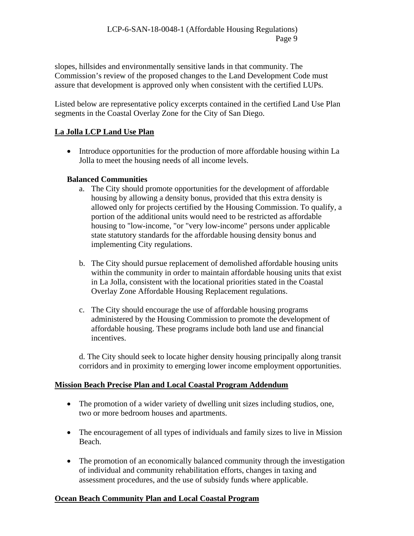slopes, hillsides and environmentally sensitive lands in that community. The Commission's review of the proposed changes to the Land Development Code must assure that development is approved only when consistent with the certified LUPs.

Listed below are representative policy excerpts contained in the certified Land Use Plan segments in the Coastal Overlay Zone for the City of San Diego.

### **La Jolla LCP Land Use Plan**

• Introduce opportunities for the production of more affordable housing within La Jolla to meet the housing needs of all income levels.

## **Balanced Communities**

- a. The City should promote opportunities for the development of affordable housing by allowing a density bonus, provided that this extra density is allowed only for projects certified by the Housing Commission. To qualify, a portion of the additional units would need to be restricted as affordable housing to "low-income, "or "very low-income" persons under applicable state statutory standards for the affordable housing density bonus and implementing City regulations.
- b. The City should pursue replacement of demolished affordable housing units within the community in order to maintain affordable housing units that exist in La Jolla, consistent with the locational priorities stated in the Coastal Overlay Zone Affordable Housing Replacement regulations.
- c. The City should encourage the use of affordable housing programs administered by the Housing Commission to promote the development of affordable housing. These programs include both land use and financial incentives.

d. The City should seek to locate higher density housing principally along transit corridors and in proximity to emerging lower income employment opportunities.

#### **Mission Beach Precise Plan and Local Coastal Program Addendum**

- The promotion of a wider variety of dwelling unit sizes including studios, one, two or more bedroom houses and apartments.
- The encouragement of all types of individuals and family sizes to live in Mission Beach.
- The promotion of an economically balanced community through the investigation of individual and community rehabilitation efforts, changes in taxing and assessment procedures, and the use of subsidy funds where applicable.

# **Ocean Beach Community Plan and Local Coastal Program**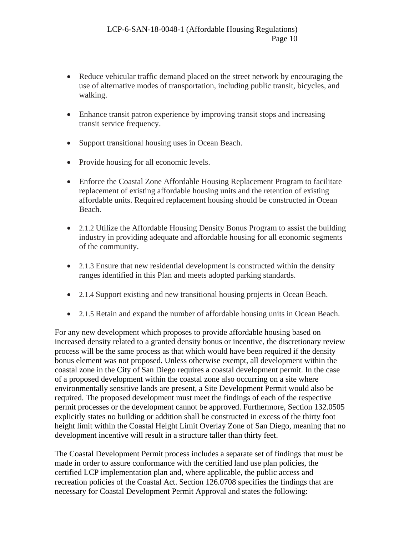- Reduce vehicular traffic demand placed on the street network by encouraging the use of alternative modes of transportation, including public transit, bicycles, and walking.
- Enhance transit patron experience by improving transit stops and increasing transit service frequency.
- Support transitional housing uses in Ocean Beach.
- Provide housing for all economic levels.
- Enforce the Coastal Zone Affordable Housing Replacement Program to facilitate replacement of existing affordable housing units and the retention of existing affordable units. Required replacement housing should be constructed in Ocean Beach.
- 2.1.2 Utilize the Affordable Housing Density Bonus Program to assist the building industry in providing adequate and affordable housing for all economic segments of the community.
- 2.1.3 Ensure that new residential development is constructed within the density ranges identified in this Plan and meets adopted parking standards.
- 2.1.4 Support existing and new transitional housing projects in Ocean Beach.
- 2.1.5 Retain and expand the number of affordable housing units in Ocean Beach.

For any new development which proposes to provide affordable housing based on increased density related to a granted density bonus or incentive, the discretionary review process will be the same process as that which would have been required if the density bonus element was not proposed. Unless otherwise exempt, all development within the coastal zone in the City of San Diego requires a coastal development permit. In the case of a proposed development within the coastal zone also occurring on a site where environmentally sensitive lands are present, a Site Development Permit would also be required. The proposed development must meet the findings of each of the respective permit processes or the development cannot be approved. Furthermore, Section 132.0505 explicitly states no building or addition shall be constructed in excess of the thirty foot height limit within the Coastal Height Limit Overlay Zone of San Diego, meaning that no development incentive will result in a structure taller than thirty feet.

The Coastal Development Permit process includes a separate set of findings that must be made in order to assure conformance with the certified land use plan policies, the certified LCP implementation plan and, where applicable, the public access and recreation policies of the Coastal Act. Section 126.0708 specifies the findings that are necessary for Coastal Development Permit Approval and states the following: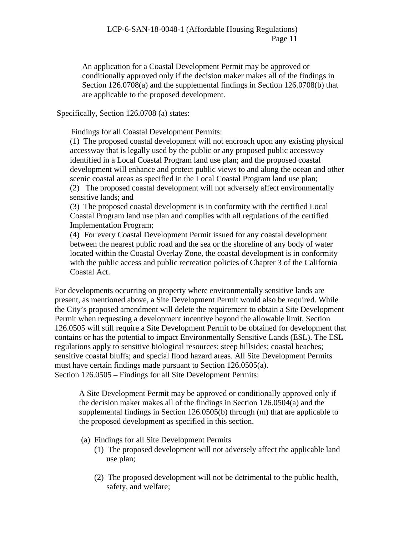An application for a Coastal Development Permit may be approved or conditionally approved only if the decision maker makes all of the findings in Section 126.0708(a) and the supplemental findings in Section 126.0708(b) that are applicable to the proposed development.

Specifically, Section 126.0708 (a) states:

Findings for all Coastal Development Permits:

(1) The proposed coastal development will not encroach upon any existing physical accessway that is legally used by the public or any proposed public accessway identified in a Local Coastal Program land use plan; and the proposed coastal development will enhance and protect public views to and along the ocean and other scenic coastal areas as specified in the Local Coastal Program land use plan;

(2) The proposed coastal development will not adversely affect environmentally sensitive lands; and

(3) The proposed coastal development is in conformity with the certified Local Coastal Program land use plan and complies with all regulations of the certified Implementation Program;

(4) For every Coastal Development Permit issued for any coastal development between the nearest public road and the sea or the shoreline of any body of water located within the Coastal Overlay Zone, the coastal development is in conformity with the public access and public recreation policies of Chapter 3 of the California Coastal Act.

For developments occurring on property where environmentally sensitive lands are present, as mentioned above, a Site Development Permit would also be required. While the City's proposed amendment will delete the requirement to obtain a Site Development Permit when requesting a development incentive beyond the allowable limit, Section 126.0505 will still require a Site Development Permit to be obtained for development that contains or has the potential to impact Environmentally Sensitive Lands (ESL). The ESL regulations apply to sensitive biological resources; steep hillsides; coastal beaches; sensitive coastal bluffs; and special flood hazard areas. All Site Development Permits must have certain findings made pursuant to Section 126.0505(a). Section 126.0505 – Findings for all Site Development Permits:

A Site Development Permit may be approved or conditionally approved only if the decision maker makes all of the findings in Section 126.0504(a) and the supplemental findings in Section 126.0505(b) through (m) that are applicable to the proposed development as specified in this section.

- (a) Findings for all Site Development Permits
	- (1) The proposed development will not adversely affect the applicable land use plan;
	- (2) The proposed development will not be detrimental to the public health, safety, and welfare;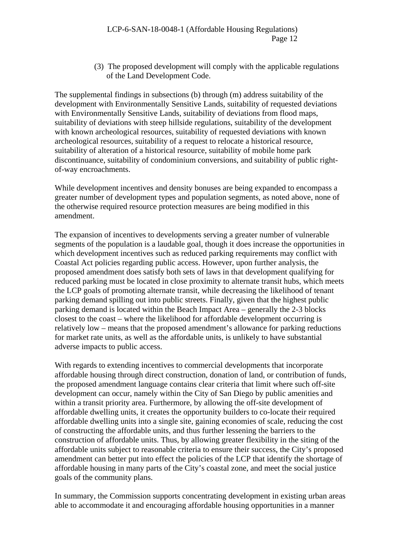(3) The proposed development will comply with the applicable regulations of the Land Development Code.

The supplemental findings in subsections (b) through (m) address suitability of the development with Environmentally Sensitive Lands, suitability of requested deviations with Environmentally Sensitive Lands, suitability of deviations from flood maps, suitability of deviations with steep hillside regulations, suitability of the development with known archeological resources, suitability of requested deviations with known archeological resources, suitability of a request to relocate a historical resource, suitability of alteration of a historical resource, suitability of mobile home park discontinuance, suitability of condominium conversions, and suitability of public rightof-way encroachments.

While development incentives and density bonuses are being expanded to encompass a greater number of development types and population segments, as noted above, none of the otherwise required resource protection measures are being modified in this amendment.

The expansion of incentives to developments serving a greater number of vulnerable segments of the population is a laudable goal, though it does increase the opportunities in which development incentives such as reduced parking requirements may conflict with Coastal Act policies regarding public access. However, upon further analysis, the proposed amendment does satisfy both sets of laws in that development qualifying for reduced parking must be located in close proximity to alternate transit hubs, which meets the LCP goals of promoting alternate transit, while decreasing the likelihood of tenant parking demand spilling out into public streets. Finally, given that the highest public parking demand is located within the Beach Impact Area – generally the 2-3 blocks closest to the coast – where the likelihood for affordable development occurring is relatively low – means that the proposed amendment's allowance for parking reductions for market rate units, as well as the affordable units, is unlikely to have substantial adverse impacts to public access.

With regards to extending incentives to commercial developments that incorporate affordable housing through direct construction, donation of land, or contribution of funds, the proposed amendment language contains clear criteria that limit where such off-site development can occur, namely within the City of San Diego by public amenities and within a transit priority area. Furthermore, by allowing the off-site development of affordable dwelling units, it creates the opportunity builders to co-locate their required affordable dwelling units into a single site, gaining economies of scale, reducing the cost of constructing the affordable units, and thus further lessening the barriers to the construction of affordable units. Thus, by allowing greater flexibility in the siting of the affordable units subject to reasonable criteria to ensure their success, the City's proposed amendment can better put into effect the policies of the LCP that identify the shortage of affordable housing in many parts of the City's coastal zone, and meet the social justice goals of the community plans.

In summary, the Commission supports concentrating development in existing urban areas able to accommodate it and encouraging affordable housing opportunities in a manner